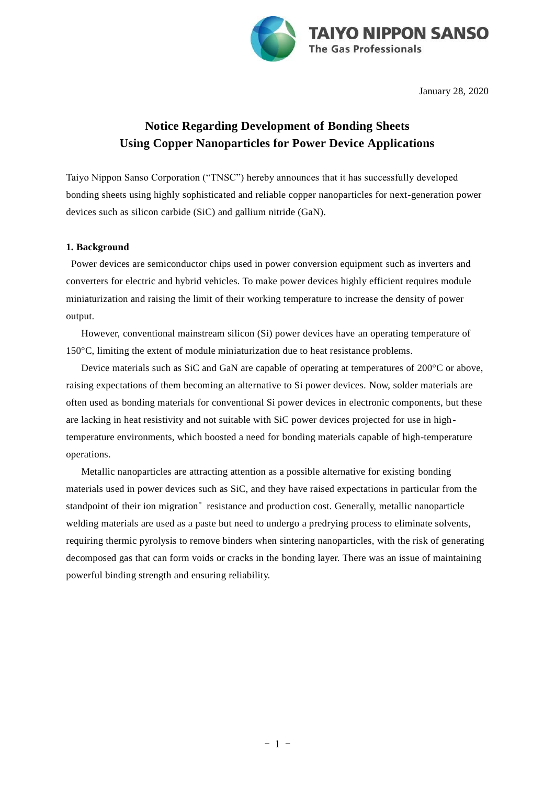

January 28, 2020

## **Notice Regarding Development of Bonding Sheets Using Copper Nanoparticles for Power Device Applications**

Taiyo Nippon Sanso Corporation ("TNSC") hereby announces that it has successfully developed bonding sheets using highly sophisticated and reliable copper nanoparticles for next-generation power devices such as silicon carbide (SiC) and gallium nitride (GaN).

## **1. Background**

Power devices are semiconductor chips used in power conversion equipment such as inverters and converters for electric and hybrid vehicles. To make power devices highly efficient requires module miniaturization and raising the limit of their working temperature to increase the density of power output.

However, conventional mainstream silicon (Si) power devices have an operating temperature of 150°C, limiting the extent of module miniaturization due to heat resistance problems.

Device materials such as SiC and GaN are capable of operating at temperatures of 200°C or above, raising expectations of them becoming an alternative to Si power devices. Now, solder materials are often used as bonding materials for conventional Si power devices in electronic components, but these are lacking in heat resistivity and not suitable with SiC power devices projected for use in hightemperature environments, which boosted a need for bonding materials capable of high-temperature operations.

Metallic nanoparticles are attracting attention as a possible alternative for existing bonding materials used in power devices such as SiC, and they have raised expectations in particular from the standpoint of their ion migration<sup>\*</sup> resistance and production cost. Generally, metallic nanoparticle welding materials are used as a paste but need to undergo a predrying process to eliminate solvents, requiring thermic pyrolysis to remove binders when sintering nanoparticles, with the risk of generating decomposed gas that can form voids or cracks in the bonding layer. There was an issue of maintaining powerful binding strength and ensuring reliability.